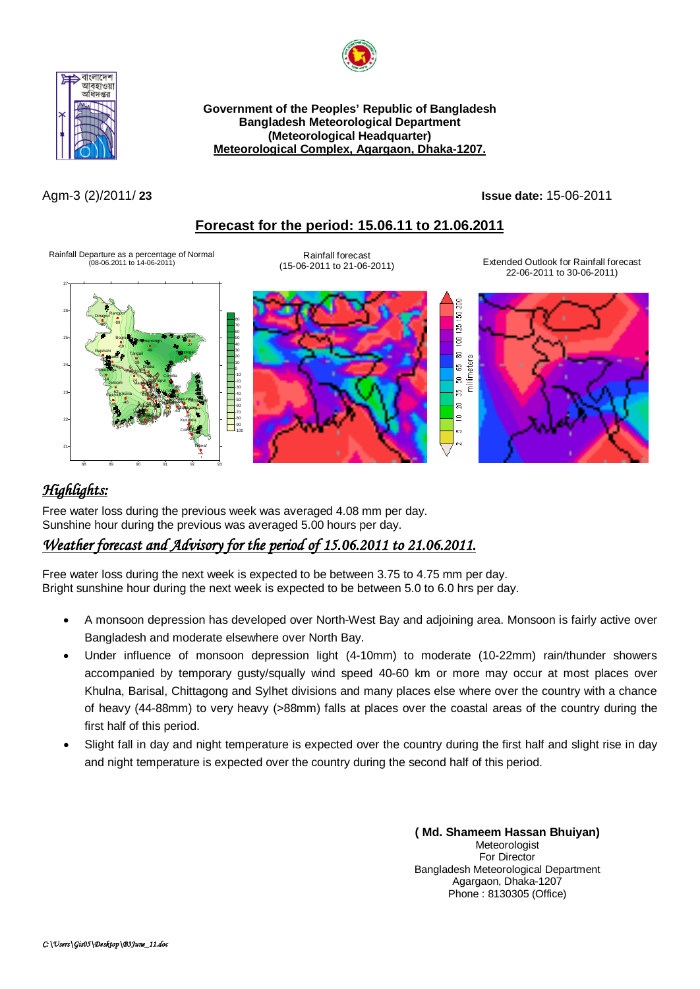



**Government of the Peoples' Republic of Bangladesh Bangladesh Meteorological Department (Meteorological Headquarter) Meteorological Complex, Agargaon, Dhaka-1207.**

Agm-3 (2)/2011/ **23 Issue date:** 15-06-2011

g  $\overline{5}$  $125$  $\frac{1}{2}$ 

່ສ ∣≘ ъ,

# **Forecast for the period: 15.06.11 to 21.06.2011**

Rainfall Departure as a percentage of Normal (08-06.2011 to 14-06-2011)

Rainfall forecast

(15-06-2011 to 21-06-2011) Extended Outlook for Rainfall forecast 22-06-2011 to 30-06-2011)







# *Highlights:*

Free water loss during the previous week was averaged 4.08 mm per day. Sunshine hour during the previous was averaged 5.00 hours per day.

# *Weather forecast and Advisory for the period of 15.06.2011 to 21.06.2011.*

Free water loss during the next week is expected to be between 3.75 to 4.75 mm per day. Bright sunshine hour during the next week is expected to be between 5.0 to 6.0 hrs per day.

- A monsoon depression has developed over North-West Bay and adjoining area. Monsoon is fairly active over Bangladesh and moderate elsewhere over North Bay.
- Under influence of monsoon depression light (4-10mm) to moderate (10-22mm) rain/thunder showers accompanied by temporary gusty/squally wind speed 40-60 km or more may occur at most places over Khulna, Barisal, Chittagong and Sylhet divisions and many places else where over the country with a chance of heavy (44-88mm) to very heavy (>88mm) falls at places over the coastal areas of the country during the first half of this period.
- Slight fall in day and night temperature is expected over the country during the first half and slight rise in day and night temperature is expected over the country during the second half of this period.

**( Md. Shameem Hassan Bhuiyan) Meteorologist** For Director Bangladesh Meteorological Department Agargaon, Dhaka-1207 Phone : 8130305 (Office)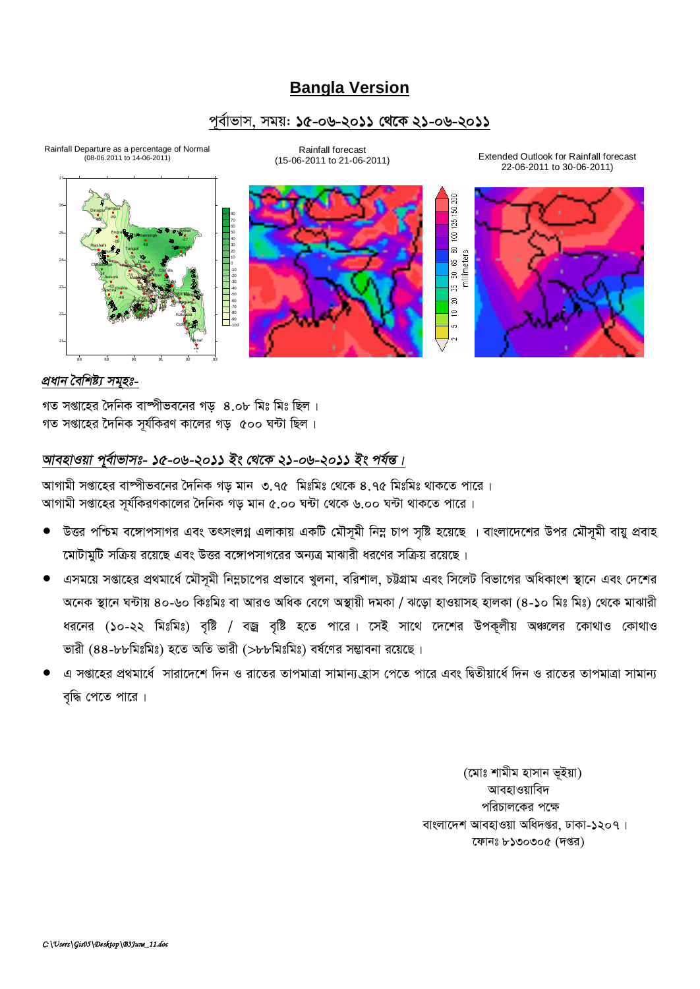# **Bangla Version**

## পূৰ্বাভাস, সময়: **১৫-০৬-২০১১ থেকে ২১-০৬-২০১১**



Rainfall Departure as a percentage of Normal

Rainfall forecast



(15-06-2011 to 21-06-2011) Extended Outlook for Rainfall forecast 22-06-2011 to 30-06-2011)



### *প্ৰধান বৈশিষ্ট্য সমহঃ-*

গত সপ্তাহের দৈনিক বাম্পীভবনের গড়  $8.$ ০৮ মিঃ মিঃ ছিল। গত সপ্তাহের দৈনিক সর্যকিরণ কালের গড়  $\;$  ৫০০ ঘন্টা ছিল।

## *আবহাওয়া প্*ৰ্বাভাসঃ- ১৫-০৬-২০১১ ইং থেকে ২১-০৬-২০১১ ইং পৰ্যন্ত।

আগামী সপ্তাহের বাষ্পীভবনের দৈনিক গড মান ৩.৭৫ মিঃমিঃ থেকে ৪.৭৫ মিঃমিঃ থাকতে পারে । আগামী সপ্তাহের সূর্যকিরণকালের দৈনিক গড় মান ৫.০০ ঘন্টা থেকে ৬.০০ ঘন্টা থাকতে পারে।

- উত্তর পশ্চিম বঙ্গোপসাগর এবং তৎসংলগ্ন এলাকায় একটি মৌসূমী নিম্ন চাপ সৃষ্টি হয়েছে । বাংলাদেশের উপর মৌসূমী বায়ু প্রবাহ মোটামুটি সক্রিয় রয়েছে এবং উত্তর বঙ্গোপসাগরের অন্যত্র মাঝারী ধরণের সক্রিয় রয়েছে।
- এসময়ে সপ্তাহের প্রথমার্ধে মৌসূমী নিম্নচাপের প্রভাবে খুলনা, বরিশাল, চউগ্রাম এবং সিলেট বিভাগের অধিকাংশ স্থানে এবং দেশের অনেক স্থানে ঘন্টায় ৪০-৬০ কিঃমিঃ বা আরও অধিক বেগে অস্থায়ী দমকা / ঝড়ো হাওয়াসহ হালকা (৪-১০ মিঃ মিঃ) থেকে মাঝারী ধরনের (১০-২২ মিঃমিঃ) বৃষ্টি / বজ্র বৃষ্টি হতে পারে। সেই সাথে দেশের উপকূলীয় অঞ্চলের কোথাও কোথাও ভারী (৪৪-৮৮মিঃমিঃ) হতে অতি ভারী (>৮৮মিঃমিঃ) বর্ষণের সম্ভাবনা রয়েছে।
- এ সপ্তাহের প্রথমার্ধে সারাদেশে দিন ও রাতের তাপমাত্রা সামান্য হ্রাস পেতে পারে এবং দ্বিতীয়ার্ধে দিন ও রাতের তাপমাত্রা সামান্য বৃদ্ধি পেতে পারে।

(মোঃ শামীম হাসান ভূইয়া) আবহাওয়াবিদ পরিচালকের পক্ষে বাংলাদেশ আবহাওয়া অধিদপ্তর, ঢাকা-১২০৭। ফোনঃ ৮১৩০৩০৫ (দপ্তর)